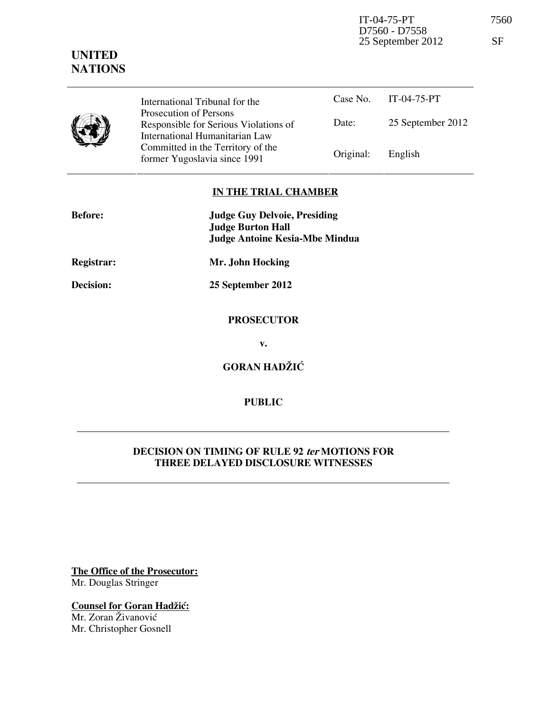IT-04-75-PT 7560 25 September 2012 SF

## **UNITED NATIONS**

|  | International Tribunal for the                                                                    |           | Case No. $IT-04-75-PT$ |
|--|---------------------------------------------------------------------------------------------------|-----------|------------------------|
|  | Prosecution of Persons<br>Responsible for Serious Violations of<br>International Humanitarian Law | Date:     | 25 September 2012      |
|  | Committed in the Territory of the<br>former Yugoslavia since 1991                                 | Original: | English                |

## **IN THE TRIAL CHAMBER**

| <b>Before:</b> | <b>Judge Guy Delvoie, Presiding</b><br><b>Judge Burton Hall</b> |  |  |
|----------------|-----------------------------------------------------------------|--|--|
|                | <b>Judge Antoine Kesia-Mbe Mindua</b>                           |  |  |
| Registrar:     | Mr. John Hocking                                                |  |  |
| Decision:      | 25 September 2012                                               |  |  |
|                | <b>PROSECUTOR</b>                                               |  |  |
|                | v.                                                              |  |  |
|                | <b>GORAN HADŽIĆ</b>                                             |  |  |
|                |                                                                 |  |  |

## **PUBLIC**

## **DECISION ON TIMING OF RULE 92 ter MOTIONS FOR THREE DELAYED DISCLOSURE WITNESSES**

**The Office of the Prosecutor:** Mr. Douglas Stringer

**Counsel for Goran Hadžić:** Mr. Zoran Živanović Mr. Christopher Gosnell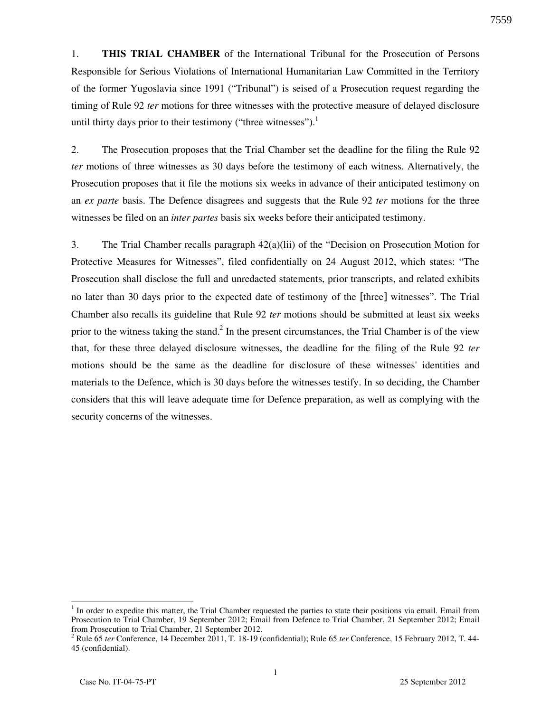1. **THIS TRIAL CHAMBER** of the International Tribunal for the Prosecution of Persons Responsible for Serious Violations of International Humanitarian Law Committed in the Territory of the former Yugoslavia since 1991 ("Tribunal") is seised of a Prosecution request regarding the timing of Rule 92 *ter* motions for three witnesses with the protective measure of delayed disclosure until thirty days prior to their testimony ("three witnesses").<sup>1</sup>

2. The Prosecution proposes that the Trial Chamber set the deadline for the filing the Rule 92 *ter* motions of three witnesses as 30 days before the testimony of each witness. Alternatively, the Prosecution proposes that it file the motions six weeks in advance of their anticipated testimony on an *ex parte* basis. The Defence disagrees and suggests that the Rule 92 *ter* motions for the three witnesses be filed on an *inter partes* basis six weeks before their anticipated testimony.

3. The Trial Chamber recalls paragraph 42(a)(lii) of the "Decision on Prosecution Motion for Protective Measures for Witnesses", filed confidentially on 24 August 2012, which states: "The Prosecution shall disclose the full and unredacted statements, prior transcripts, and related exhibits no later than 30 days prior to the expected date of testimony of the [three] witnesses". The Trial Chamber also recalls its guideline that Rule 92 *ter* motions should be submitted at least six weeks prior to the witness taking the stand.<sup>2</sup> In the present circumstances, the Trial Chamber is of the view that, for these three delayed disclosure witnesses, the deadline for the filing of the Rule 92 *ter* motions should be the same as the deadline for disclosure of these witnesses' identities and materials to the Defence, which is 30 days before the witnesses testify. In so deciding, the Chamber considers that this will leave adequate time for Defence preparation, as well as complying with the security concerns of the witnesses.

7559

 $1$  In order to expedite this matter, the Trial Chamber requested the parties to state their positions via email. Email from Prosecution to Trial Chamber, 19 September 2012; Email from Defence to Trial Chamber, 21 September 2012; Email from Prosecution to Trial Chamber, 21 September 2012.

<sup>2</sup> Rule 65 *ter* Conference, 14 December 2011, T. 18-19 (confidential); Rule 65 *ter* Conference, 15 February 2012, T. 44- 45 (confidential).